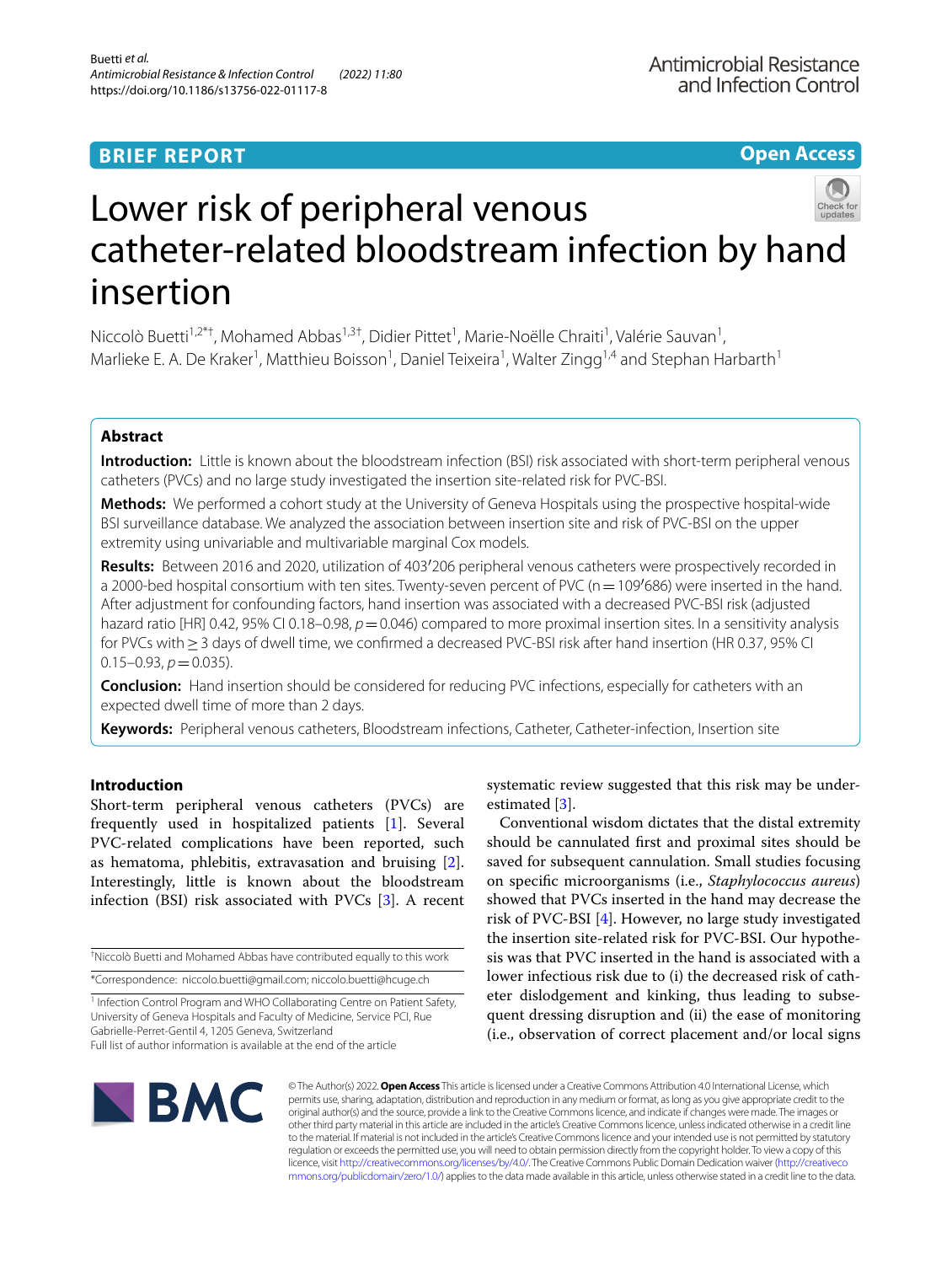## **BRIEF REPORT**

**Open Access**

# Lower risk of peripheral venous catheter-related bloodstream infection by hand insertion

Niccolò Buetti<sup>1,2\*†</sup>, Mohamed Abbas<sup>1,3†</sup>, Didier Pittet<sup>1</sup>, Marie-Noëlle Chraiti<sup>1</sup>, Valérie Sauvan<sup>1</sup>, Marlieke E. A. De Kraker<sup>1</sup>, Matthieu Boisson<sup>1</sup>, Daniel Teixeira<sup>1</sup>, Walter Zingg<sup>1,4</sup> and Stephan Harbarth<sup>1</sup>

## **Abstract**

**Introduction:** Little is known about the bloodstream infection (BSI) risk associated with short-term peripheral venous catheters (PVCs) and no large study investigated the insertion site-related risk for PVC-BSI.

**Methods:** We performed a cohort study at the University of Geneva Hospitals using the prospective hospital-wide BSI surveillance database. We analyzed the association between insertion site and risk of PVC-BSI on the upper extremity using univariable and multivariable marginal Cox models.

**Results:** Between 2016 and 2020, utilization of 403′206 peripheral venous catheters were prospectively recorded in a 2000-bed hospital consortium with ten sites. Twenty-seven percent of PVC ( $n=109'686$ ) were inserted in the hand. After adjustment for confounding factors, hand insertion was associated with a decreased PVC-BSI risk (adjusted hazard ratio [HR] 0.42, 95% CI 0.18–0.98,  $p = 0.046$ ) compared to more proximal insertion sites. In a sensitivity analysis for PVCs with≥3 days of dwell time, we confrmed a decreased PVC-BSI risk after hand insertion (HR 0.37, 95% CI  $0.15 - 0.93$ ,  $p = 0.035$ ).

**Conclusion:** Hand insertion should be considered for reducing PVC infections, especially for catheters with an expected dwell time of more than 2 days.

**Keywords:** Peripheral venous catheters, Bloodstream infections, Catheter, Catheter-infection, Insertion site

## **Introduction**

Short-term peripheral venous catheters (PVCs) are frequently used in hospitalized patients [\[1\]](#page-5-0). Several PVC-related complications have been reported, such as hematoma, phlebitis, extravasation and bruising [\[2](#page-5-1)]. Interestingly, little is known about the bloodstream infection (BSI) risk associated with PVCs [[3](#page-5-2)]. A recent

† Niccolò Buetti and Mohamed Abbas have contributed equally to this work \*Correspondence: niccolo.buetti@gmail.com; niccolo.buetti@hcuge.ch

<sup>1</sup> Infection Control Program and WHO Collaborating Centre on Patient Safety, University of Geneva Hospitals and Faculty of Medicine, Service PCI, Rue Gabrielle‑Perret‑Gentil 4, 1205 Geneva, Switzerland

systematic review suggested that this risk may be underestimated [\[3](#page-5-2)].

Conventional wisdom dictates that the distal extremity should be cannulated frst and proximal sites should be saved for subsequent cannulation. Small studies focusing on specifc microorganisms (i.e., *Staphylococcus aureus*) showed that PVCs inserted in the hand may decrease the risk of PVC-BSI [[4\]](#page-5-3). However, no large study investigated the insertion site-related risk for PVC-BSI. Our hypothesis was that PVC inserted in the hand is associated with a lower infectious risk due to (i) the decreased risk of catheter dislodgement and kinking, thus leading to subsequent dressing disruption and (ii) the ease of monitoring (i.e., observation of correct placement and/or local signs



© The Author(s) 2022. **Open Access** This article is licensed under a Creative Commons Attribution 4.0 International License, which permits use, sharing, adaptation, distribution and reproduction in any medium or format, as long as you give appropriate credit to the original author(s) and the source, provide a link to the Creative Commons licence, and indicate if changes were made. The images or other third party material in this article are included in the article's Creative Commons licence, unless indicated otherwise in a credit line to the material. If material is not included in the article's Creative Commons licence and your intended use is not permitted by statutory regulation or exceeds the permitted use, you will need to obtain permission directly from the copyright holder. To view a copy of this licence, visit [http://creativecommons.org/licenses/by/4.0/.](http://creativecommons.org/licenses/by/4.0/) The Creative Commons Public Domain Dedication waiver ([http://creativeco](http://creativecommons.org/publicdomain/zero/1.0/) [mmons.org/publicdomain/zero/1.0/](http://creativecommons.org/publicdomain/zero/1.0/)) applies to the data made available in this article, unless otherwise stated in a credit line to the data.

Full list of author information is available at the end of the article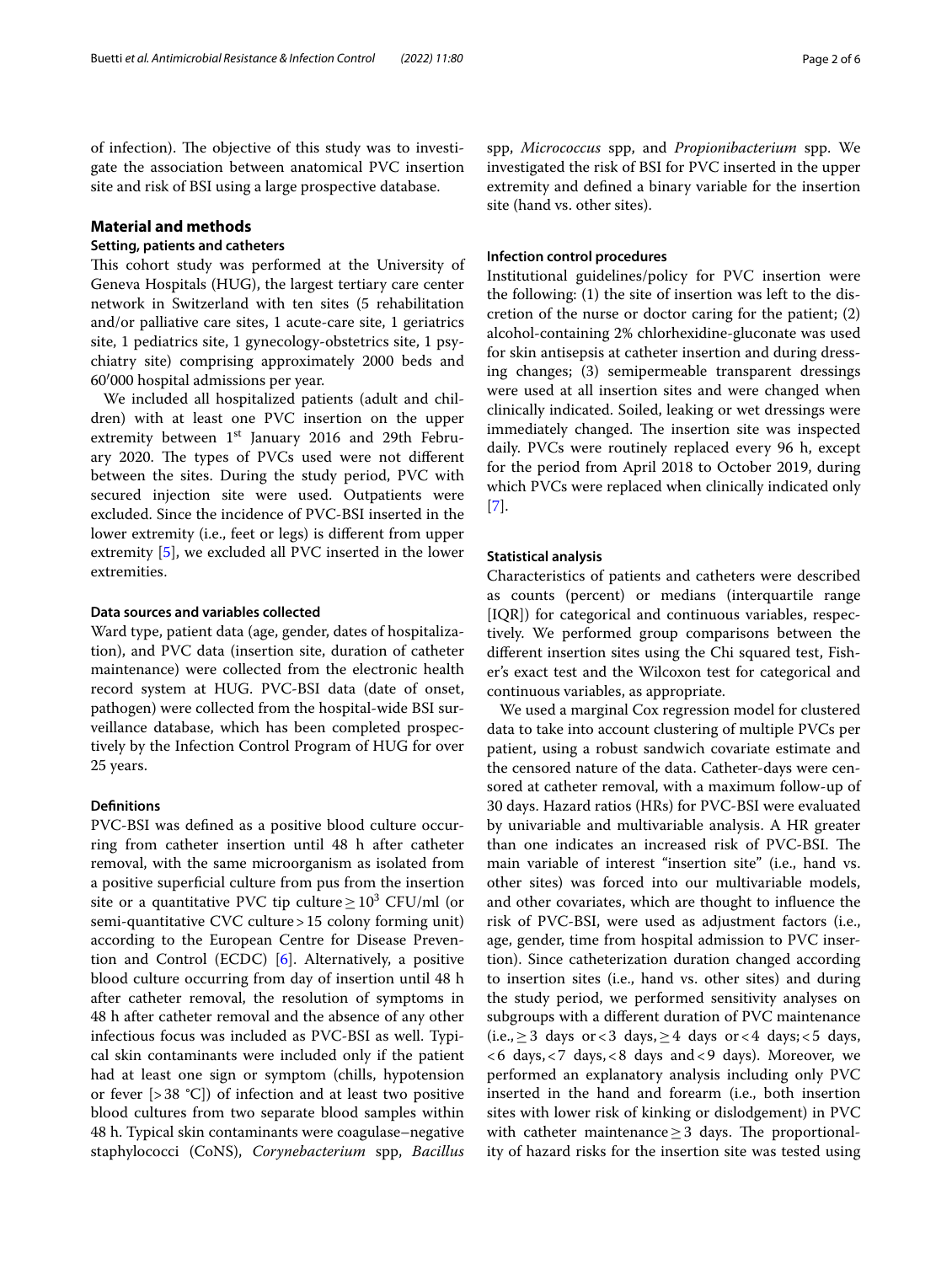of infection). The objective of this study was to investigate the association between anatomical PVC insertion site and risk of BSI using a large prospective database.

## **Material and methods**

## **Setting, patients and catheters**

This cohort study was performed at the University of Geneva Hospitals (HUG), the largest tertiary care center network in Switzerland with ten sites (5 rehabilitation and/or palliative care sites, 1 acute-care site, 1 geriatrics site, 1 pediatrics site, 1 gynecology-obstetrics site, 1 psychiatry site) comprising approximately 2000 beds and 60′000 hospital admissions per year.

We included all hospitalized patients (adult and children) with at least one PVC insertion on the upper extremity between  $1<sup>st</sup>$  January 2016 and 29th February 2020. The types of PVCs used were not different between the sites. During the study period, PVC with secured injection site were used. Outpatients were excluded. Since the incidence of PVC-BSI inserted in the lower extremity (i.e., feet or legs) is diferent from upper extremity [\[5\]](#page-5-4), we excluded all PVC inserted in the lower extremities.

## **Data sources and variables collected**

Ward type, patient data (age, gender, dates of hospitalization), and PVC data (insertion site, duration of catheter maintenance) were collected from the electronic health record system at HUG. PVC-BSI data (date of onset, pathogen) were collected from the hospital-wide BSI surveillance database, which has been completed prospectively by the Infection Control Program of HUG for over 25 years.

#### **Defnitions**

PVC-BSI was defned as a positive blood culture occurring from catheter insertion until 48 h after catheter removal, with the same microorganism as isolated from a positive superfcial culture from pus from the insertion site or a quantitative PVC tip culture $\geq 10^3$  CFU/ml (or semi-quantitative CVC culture > 15 colony forming unit) according to the European Centre for Disease Prevention and Control (ECDC) [\[6](#page-5-5)]. Alternatively, a positive blood culture occurring from day of insertion until 48 h after catheter removal, the resolution of symptoms in 48 h after catheter removal and the absence of any other infectious focus was included as PVC-BSI as well. Typical skin contaminants were included only if the patient had at least one sign or symptom (chills, hypotension or fever  $[>38 \text{ °C}]$  of infection and at least two positive blood cultures from two separate blood samples within 48 h. Typical skin contaminants were coagulase–negative staphylococci (CoNS), *Corynebacterium* spp, *Bacillus*

spp, *Micrococcus* spp, and *Propionibacterium* spp. We investigated the risk of BSI for PVC inserted in the upper extremity and defned a binary variable for the insertion site (hand vs. other sites).

### **Infection control procedures**

Institutional guidelines/policy for PVC insertion were the following: (1) the site of insertion was left to the discretion of the nurse or doctor caring for the patient; (2) alcohol-containing 2% chlorhexidine-gluconate was used for skin antisepsis at catheter insertion and during dressing changes; (3) semipermeable transparent dressings were used at all insertion sites and were changed when clinically indicated. Soiled, leaking or wet dressings were immediately changed. The insertion site was inspected daily. PVCs were routinely replaced every 96 h, except for the period from April 2018 to October 2019, during which PVCs were replaced when clinically indicated only [[7\]](#page-5-6).

## **Statistical analysis**

Characteristics of patients and catheters were described as counts (percent) or medians (interquartile range [IQR]) for categorical and continuous variables, respectively. We performed group comparisons between the diferent insertion sites using the Chi squared test, Fisher's exact test and the Wilcoxon test for categorical and continuous variables, as appropriate.

We used a marginal Cox regression model for clustered data to take into account clustering of multiple PVCs per patient, using a robust sandwich covariate estimate and the censored nature of the data. Catheter-days were censored at catheter removal, with a maximum follow-up of 30 days. Hazard ratios (HRs) for PVC-BSI were evaluated by univariable and multivariable analysis. A HR greater than one indicates an increased risk of PVC-BSI. The main variable of interest "insertion site" (i.e., hand vs. other sites) was forced into our multivariable models, and other covariates, which are thought to infuence the risk of PVC-BSI, were used as adjustment factors (i.e., age, gender, time from hospital admission to PVC insertion). Since catheterization duration changed according to insertion sites (i.e., hand vs. other sites) and during the study period, we performed sensitivity analyses on subgroups with a diferent duration of PVC maintenance (i.e., ≥ 3 days or < 3 days, ≥ 4 days or < 4 days; < 5 days, <6 days,<7 days,<8 days and<9 days). Moreover, we performed an explanatory analysis including only PVC inserted in the hand and forearm (i.e., both insertion sites with lower risk of kinking or dislodgement) in PVC with catheter maintenance  $\geq$  3 days. The proportionality of hazard risks for the insertion site was tested using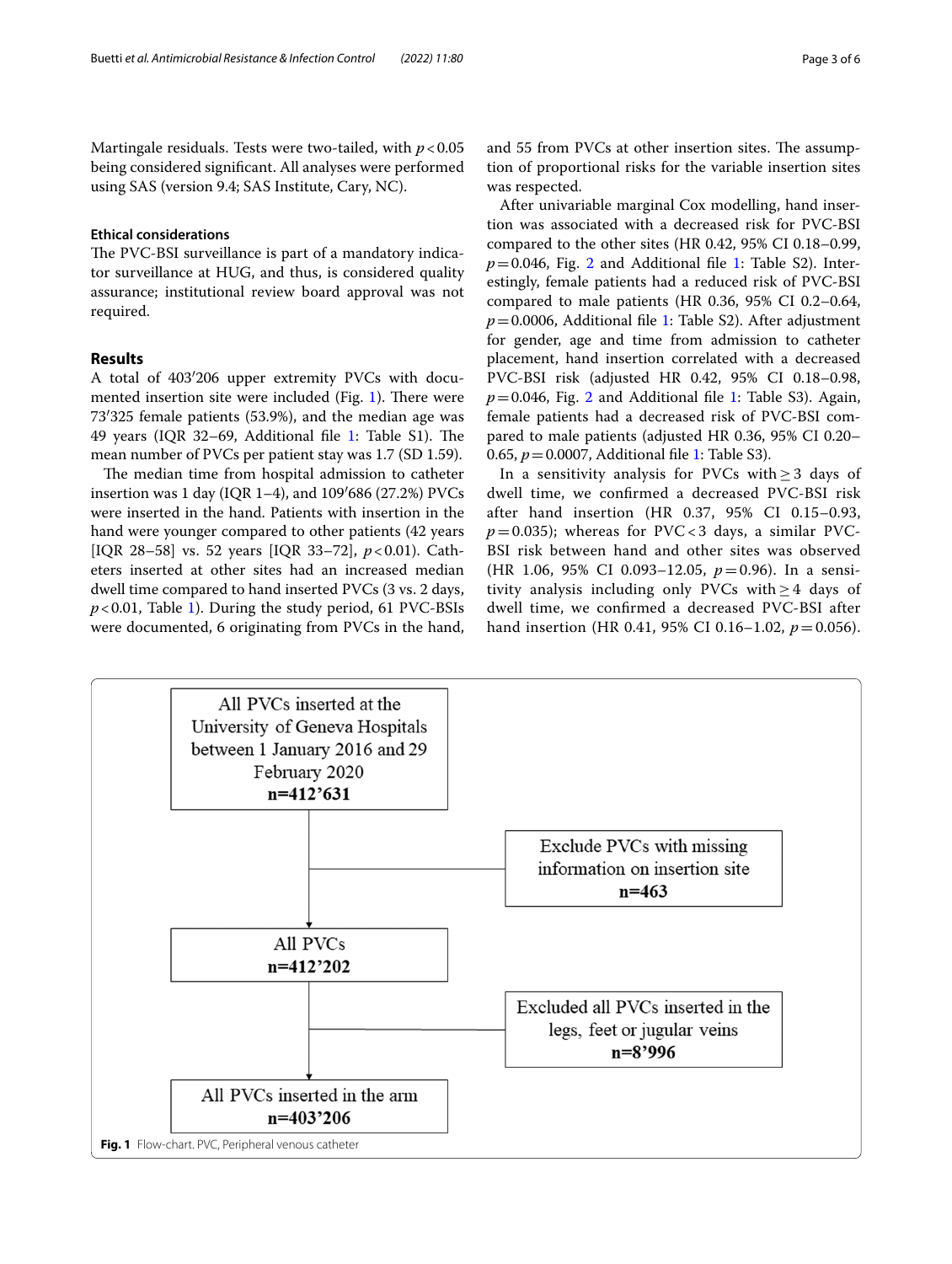## **Ethical considerations**

The PVC-BSI surveillance is part of a mandatory indicator surveillance at HUG, and thus, is considered quality assurance; institutional review board approval was not required.

## **Results**

A total of 403′206 upper extremity PVCs with documented insertion site were included (Fig.  $1$ ). There were 73′325 female patients (53.9%), and the median age was 49 years (IQR 32–69, Additional file [1](#page-4-0): Table S1). The mean number of PVCs per patient stay was 1.7 (SD 1.59).

The median time from hospital admission to catheter insertion was 1 day (IQR 1–4), and 109′686 (27.2%) PVCs were inserted in the hand. Patients with insertion in the hand were younger compared to other patients (42 years [IQR 28–58] vs. 52 years [IQR 33–72], *p*<0.01). Catheters inserted at other sites had an increased median dwell time compared to hand inserted PVCs (3 vs. 2 days, *p*<0.01, Table [1](#page-3-0)). During the study period, 61 PVC-BSIs were documented, 6 originating from PVCs in the hand, and 55 from PVCs at other insertion sites. The assumption of proportional risks for the variable insertion sites was respected.

After univariable marginal Cox modelling, hand insertion was associated with a decreased risk for PVC-BSI compared to the other sites (HR 0.42, 95% CI 0.18–0.99,  $p=0.046$ , Fig. [2](#page-3-1) and Additional file [1:](#page-4-0) Table S2). Interestingly, female patients had a reduced risk of PVC-BSI compared to male patients (HR 0.36, 95% CI 0.2–0.64, *p*=0.0006, Additional fle [1](#page-4-0): Table S2). After adjustment for gender, age and time from admission to catheter placement, hand insertion correlated with a decreased PVC-BSI risk (adjusted HR 0.42, 95% CI 0.18–0.98,  $p=0.046$ , Fig. [2](#page-3-1) and Additional file [1:](#page-4-0) Table S3). Again, female patients had a decreased risk of PVC-BSI compared to male patients (adjusted HR 0.36, 95% CI 0.20– 0.65, *p*=0.0007, Additional fle [1](#page-4-0): Table S3).

In a sensitivity analysis for PVCs with  $\geq$  3 days of dwell time, we confrmed a decreased PVC-BSI risk after hand insertion (HR 0.37, 95% CI 0.15–0.93,  $p=0.035$ ); whereas for PVC<3 days, a similar PVC-BSI risk between hand and other sites was observed (HR 1.06, 95% CI 0.093–12.05, *p*=0.96). In a sensitivity analysis including only PVCs with  $\geq$  4 days of dwell time, we confrmed a decreased PVC-BSI after hand insertion (HR 0.41, 95% CI 0.16–1.02,  $p = 0.056$ ).

<span id="page-2-0"></span>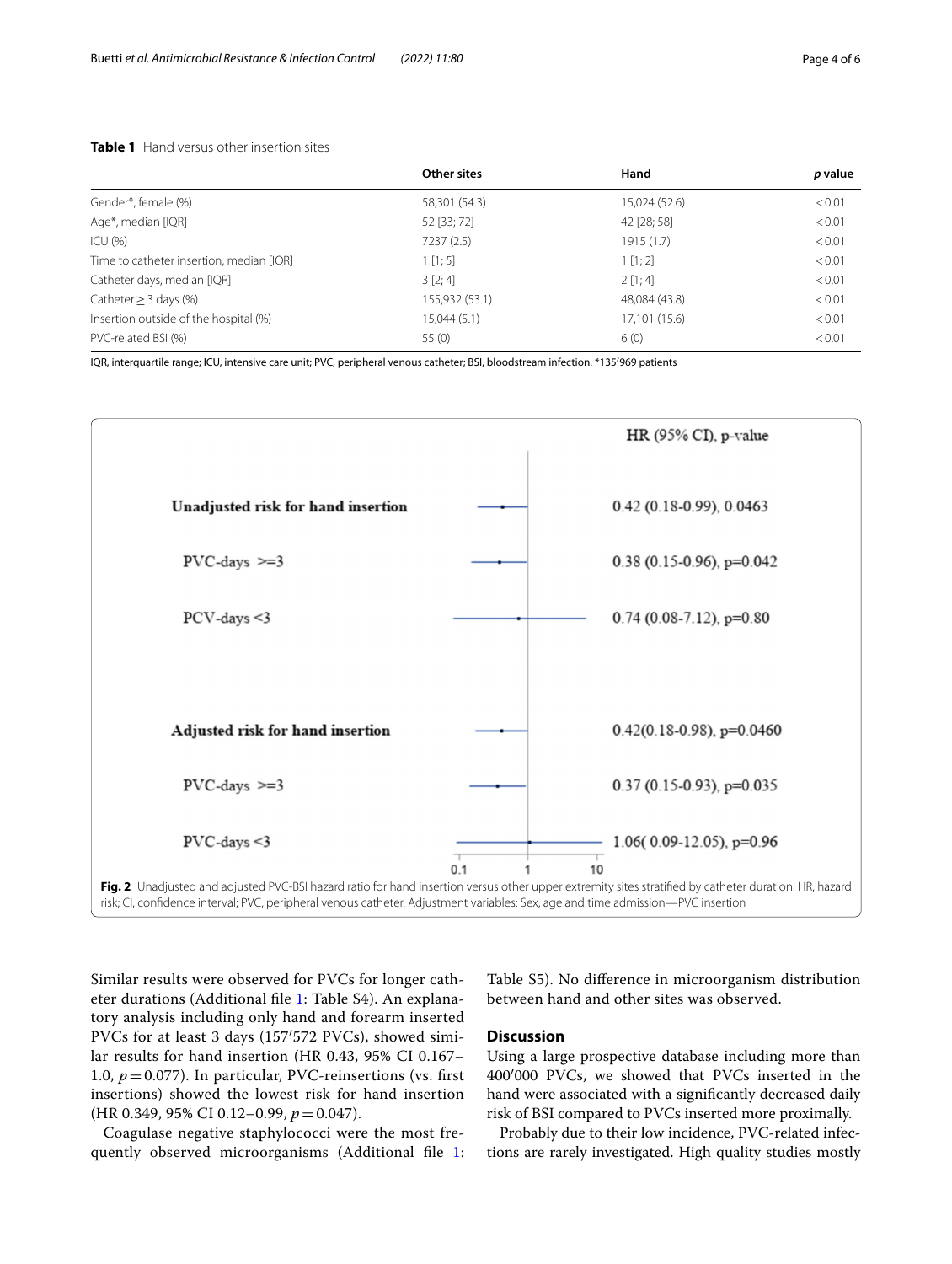## <span id="page-3-0"></span>**Table 1** Hand versus other insertion sites

|                                          | Other sites    | Hand          | p value |
|------------------------------------------|----------------|---------------|---------|
| Gender*, female (%)                      | 58,301 (54.3)  | 15,024 (52.6) | < 0.01  |
| Age*, median [IQR]                       | 52 [33; 72]    | 42 [28; 58]   | < 0.01  |
| ICU(% )                                  | 7237 (2.5)     | 1915 (1.7)    | < 0.01  |
| Time to catheter insertion, median [IQR] | 1 [1; 5]       | 1 [1; 2]      | < 0.01  |
| Catheter days, median [IQR]              | 3 [2; 4]       | 2[1;4]        | < 0.01  |
| Catheter $>$ 3 days (%)                  | 155,932 (53.1) | 48,084 (43.8) | < 0.01  |
| Insertion outside of the hospital (%)    | 15,044(5.1)    | 17,101 (15.6) | < 0.01  |
| PVC-related BSI (%)                      | 55(0)          | 6(0)          | < 0.01  |

IQR, interquartile range; ICU, intensive care unit; PVC, peripheral venous catheter; BSI, bloodstream infection. \*135′969 patients



<span id="page-3-1"></span>Similar results were observed for PVCs for longer catheter durations (Additional fle [1](#page-4-0): Table S4). An explanatory analysis including only hand and forearm inserted PVCs for at least 3 days (157′572 PVCs), showed similar results for hand insertion (HR 0.43, 95% CI 0.167– 1.0,  $p = 0.077$ ). In particular, PVC-reinsertions (vs. first insertions) showed the lowest risk for hand insertion (HR 0.349, 95% CI 0.12–0.99, *p*=0.047).

Coagulase negative staphylococci were the most frequently observed microorganisms (Additional fle [1](#page-4-0):

Table S5). No diference in microorganism distribution between hand and other sites was observed.

## **Discussion**

Using a large prospective database including more than 400′000 PVCs, we showed that PVCs inserted in the hand were associated with a signifcantly decreased daily risk of BSI compared to PVCs inserted more proximally.

Probably due to their low incidence, PVC-related infections are rarely investigated. High quality studies mostly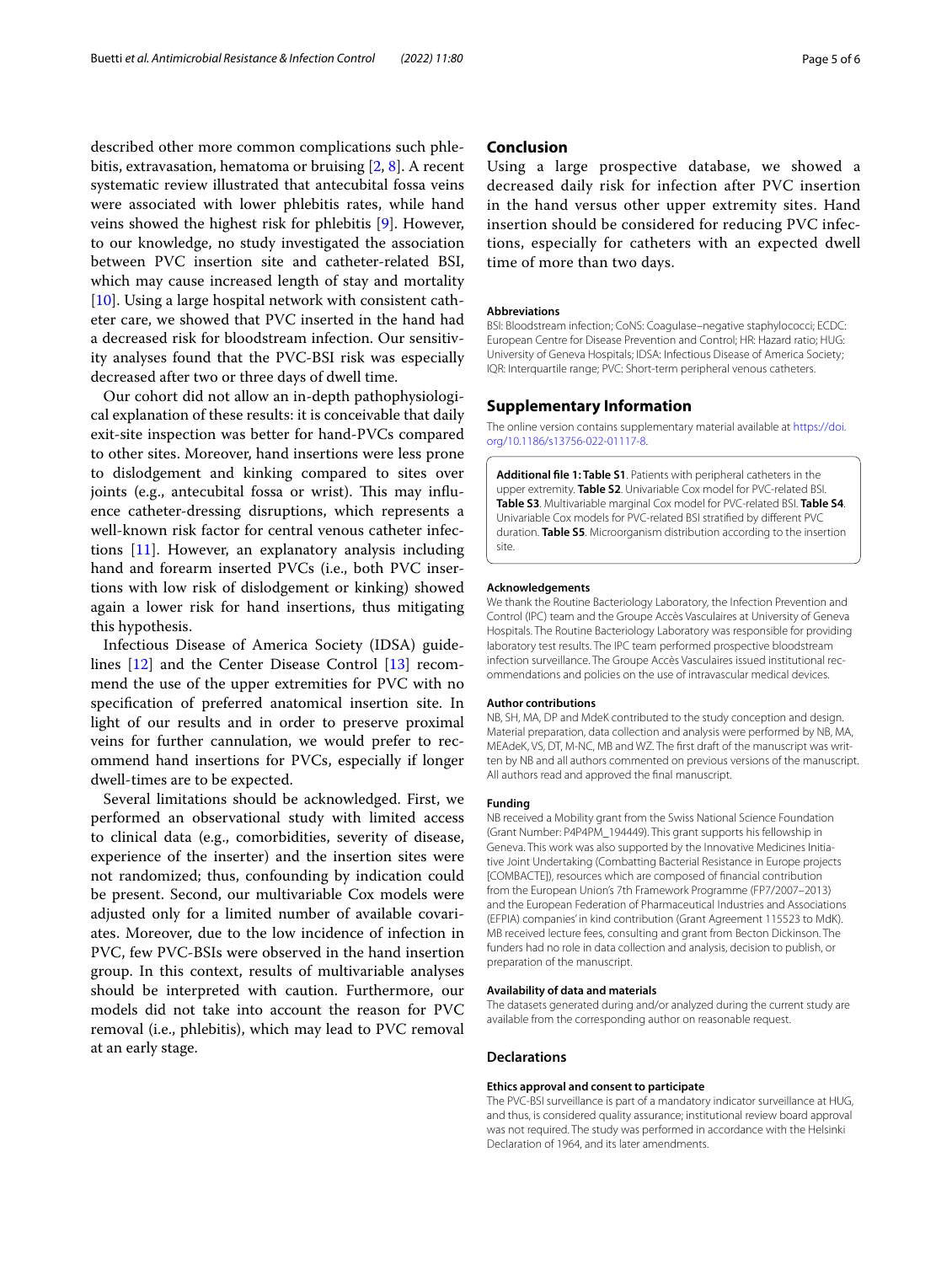described other more common complications such phlebitis, extravasation, hematoma or bruising [[2,](#page-5-1) [8\]](#page-5-7). A recent systematic review illustrated that antecubital fossa veins were associated with lower phlebitis rates, while hand veins showed the highest risk for phlebitis [[9\]](#page-5-8). However, to our knowledge, no study investigated the association between PVC insertion site and catheter-related BSI, which may cause increased length of stay and mortality [[10\]](#page-5-9). Using a large hospital network with consistent catheter care, we showed that PVC inserted in the hand had a decreased risk for bloodstream infection. Our sensitivity analyses found that the PVC-BSI risk was especially decreased after two or three days of dwell time.

Our cohort did not allow an in-depth pathophysiological explanation of these results: it is conceivable that daily exit-site inspection was better for hand-PVCs compared to other sites. Moreover, hand insertions were less prone to dislodgement and kinking compared to sites over joints (e.g., antecubital fossa or wrist). This may influence catheter-dressing disruptions, which represents a well-known risk factor for central venous catheter infections [[11\]](#page-5-10). However, an explanatory analysis including hand and forearm inserted PVCs (i.e., both PVC insertions with low risk of dislodgement or kinking) showed again a lower risk for hand insertions, thus mitigating this hypothesis.

Infectious Disease of America Society (IDSA) guidelines [\[12\]](#page-5-11) and the Center Disease Control [[13\]](#page-5-12) recommend the use of the upper extremities for PVC with no specifcation of preferred anatomical insertion site. In light of our results and in order to preserve proximal veins for further cannulation, we would prefer to recommend hand insertions for PVCs, especially if longer dwell-times are to be expected.

Several limitations should be acknowledged. First, we performed an observational study with limited access to clinical data (e.g., comorbidities, severity of disease, experience of the inserter) and the insertion sites were not randomized; thus, confounding by indication could be present. Second, our multivariable Cox models were adjusted only for a limited number of available covariates. Moreover, due to the low incidence of infection in PVC, few PVC-BSIs were observed in the hand insertion group. In this context, results of multivariable analyses should be interpreted with caution. Furthermore, our models did not take into account the reason for PVC removal (i.e., phlebitis), which may lead to PVC removal at an early stage.

## **Conclusion**

Using a large prospective database, we showed a decreased daily risk for infection after PVC insertion in the hand versus other upper extremity sites. Hand insertion should be considered for reducing PVC infections, especially for catheters with an expected dwell time of more than two days.

#### **Abbreviations**

BSI: Bloodstream infection; CoNS: Coagulase–negative staphylococci; ECDC: European Centre for Disease Prevention and Control; HR: Hazard ratio; HUG: University of Geneva Hospitals; IDSA: Infectious Disease of America Society; IQR: Interquartile range; PVC: Short-term peripheral venous catheters.

#### **Supplementary Information**

The online version contains supplementary material available at [https://doi.](https://doi.org/10.1186/s13756-022-01117-8) [org/10.1186/s13756-022-01117-8](https://doi.org/10.1186/s13756-022-01117-8).

<span id="page-4-0"></span>**Additional fle 1: Table S1**. Patients with peripheral catheters in the upper extremity. **Table S2**. Univariable Cox model for PVC-related BSI. **Table S3**. Multivariable marginal Cox model for PVC-related BSI. **Table S4**. Univariable Cox models for PVC-related BSI stratifed by diferent PVC duration. **Table S5**. Microorganism distribution according to the insertion site.

#### **Acknowledgements**

We thank the Routine Bacteriology Laboratory, the Infection Prevention and Control (IPC) team and the Groupe Accès Vasculaires at University of Geneva Hospitals. The Routine Bacteriology Laboratory was responsible for providing laboratory test results. The IPC team performed prospective bloodstream infection surveillance. The Groupe Accès Vasculaires issued institutional recommendations and policies on the use of intravascular medical devices.

#### **Author contributions**

NB, SH, MA, DP and MdeK contributed to the study conception and design. Material preparation, data collection and analysis were performed by NB, MA, MEAdeK, VS, DT, M-NC, MB and WZ. The first draft of the manuscript was written by NB and all authors commented on previous versions of the manuscript. All authors read and approved the fnal manuscript.

#### **Funding**

NB received a Mobility grant from the Swiss National Science Foundation (Grant Number: P4P4PM\_194449). This grant supports his fellowship in Geneva. This work was also supported by the Innovative Medicines Initiative Joint Undertaking (Combatting Bacterial Resistance in Europe projects [COMBACTE]), resources which are composed of fnancial contribution from the European Union's 7th Framework Programme (FP7/2007–2013) and the European Federation of Pharmaceutical Industries and Associations (EFPIA) companies' in kind contribution (Grant Agreement 115523 to MdK). MB received lecture fees, consulting and grant from Becton Dickinson. The funders had no role in data collection and analysis, decision to publish, or preparation of the manuscript.

#### **Availability of data and materials**

The datasets generated during and/or analyzed during the current study are available from the corresponding author on reasonable request.

#### **Declarations**

#### **Ethics approval and consent to participate**

The PVC-BSI surveillance is part of a mandatory indicator surveillance at HUG, and thus, is considered quality assurance; institutional review board approval was not required. The study was performed in accordance with the Helsinki Declaration of 1964, and its later amendments.